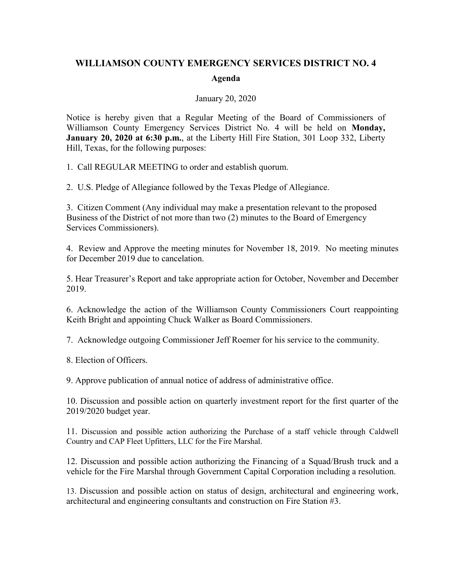## **WILLIAMSON COUNTY EMERGENCY SERVICES DISTRICT NO. 4 Agenda**

## January 20, 2020

Notice is hereby given that a Regular Meeting of the Board of Commissioners of Williamson County Emergency Services District No. 4 will be held on **Monday, January 20, 2020 at 6:30 p.m.**, at the Liberty Hill Fire Station, 301 Loop 332, Liberty Hill, Texas, for the following purposes:

1. Call REGULAR MEETING to order and establish quorum.

2. U.S. Pledge of Allegiance followed by the Texas Pledge of Allegiance.

3. Citizen Comment (Any individual may make a presentation relevant to the proposed Business of the District of not more than two (2) minutes to the Board of Emergency Services Commissioners).

4. Review and Approve the meeting minutes for November 18, 2019. No meeting minutes for December 2019 due to cancelation.

5. Hear Treasurer's Report and take appropriate action for October, November and December 2019.

6. Acknowledge the action of the Williamson County Commissioners Court reappointing Keith Bright and appointing Chuck Walker as Board Commissioners.

7. Acknowledge outgoing Commissioner Jeff Roemer for his service to the community.

8. Election of Officers.

9. Approve publication of annual notice of address of administrative office.

10. Discussion and possible action on quarterly investment report for the first quarter of the 2019/2020 budget year.

11. Discussion and possible action authorizing the Purchase of a staff vehicle through Caldwell Country and CAP Fleet Upfitters, LLC for the Fire Marshal.

12. Discussion and possible action authorizing the Financing of a Squad/Brush truck and a vehicle for the Fire Marshal through Government Capital Corporation including a resolution.

13. Discussion and possible action on status of design, architectural and engineering work, architectural and engineering consultants and construction on Fire Station #3.